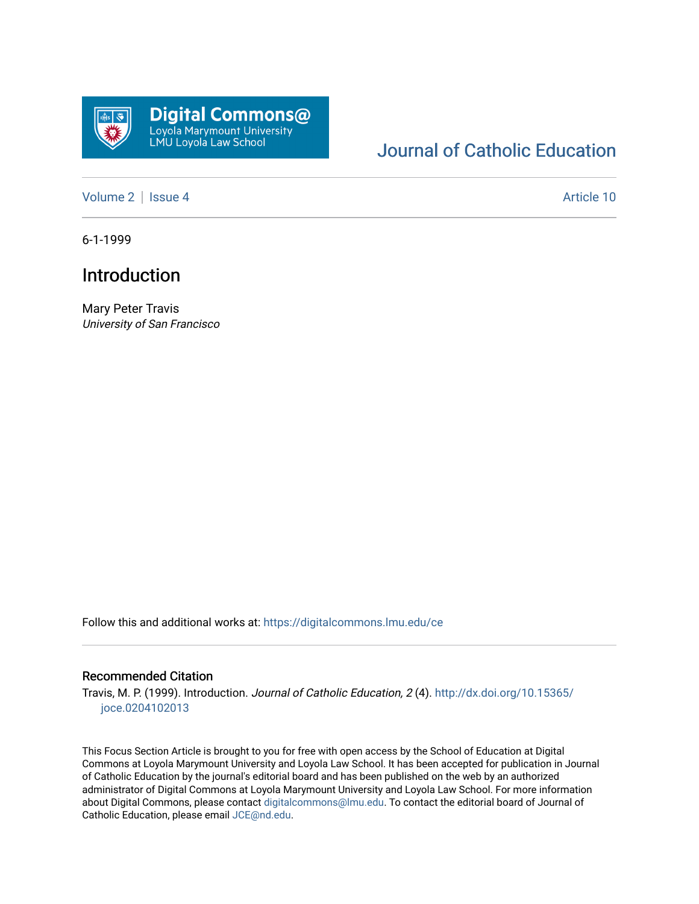

## [Journal of Catholic Education](https://digitalcommons.lmu.edu/ce)

[Volume 2](https://digitalcommons.lmu.edu/ce/vol2) | [Issue 4](https://digitalcommons.lmu.edu/ce/vol2/iss4) Article 10

6-1-1999

## Introduction

Mary Peter Travis University of San Francisco

Follow this and additional works at: [https://digitalcommons.lmu.edu/ce](https://digitalcommons.lmu.edu/ce?utm_source=digitalcommons.lmu.edu%2Fce%2Fvol2%2Fiss4%2F10&utm_medium=PDF&utm_campaign=PDFCoverPages)

#### Recommended Citation

Travis, M. P. (1999). Introduction. Journal of Catholic Education, 2 (4). [http://dx.doi.org/10.15365/](http://dx.doi.org/10.15365/joce.0204102013) [joce.0204102013](http://dx.doi.org/10.15365/joce.0204102013) 

This Focus Section Article is brought to you for free with open access by the School of Education at Digital Commons at Loyola Marymount University and Loyola Law School. It has been accepted for publication in Journal of Catholic Education by the journal's editorial board and has been published on the web by an authorized administrator of Digital Commons at Loyola Marymount University and Loyola Law School. For more information about Digital Commons, please contact [digitalcommons@lmu.edu](mailto:digitalcommons@lmu.edu). To contact the editorial board of Journal of Catholic Education, please email [JCE@nd.edu.](mailto:JCE@nd.edu)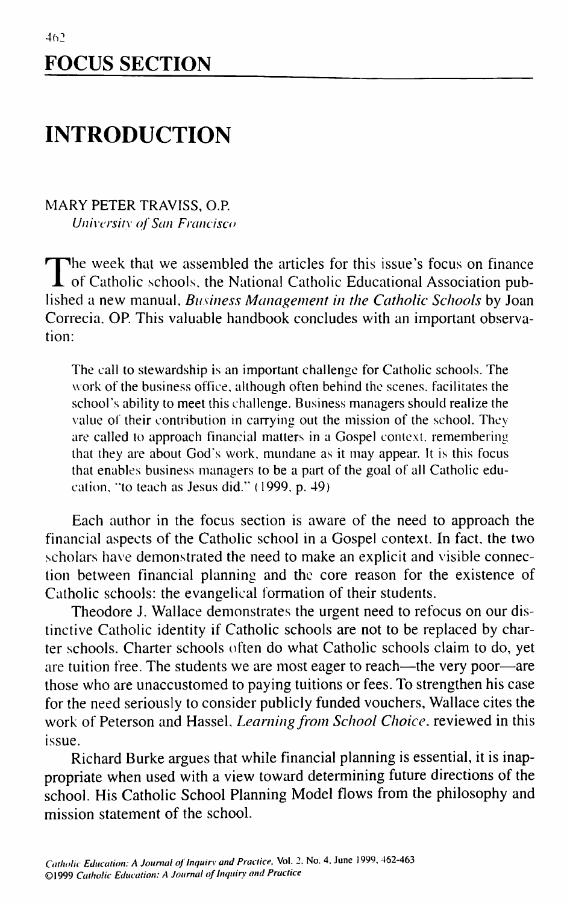# **FOCUS SECTION**

## **INTRODUCTION**

### MARY PETER TRAVISS, O.R *Univcrsilx of San Francisco*

The week that we assembled the articles for this issue's focus on finance<br>of Catholic schools, the National Catholic Educational Association pub-The week that we assembled the articles for this issue's focus on finance lished a new manual. *Business Management in the Catholic Schools* by Joan Correcia, OR This valuable handbook concludes with an important observation:

The call to stewardship is an important challenge for Catholic schools. The work of the business office, although often behind the scenes, facilitates the school's ability to meet this challenge. Business managers should realize the value of their contribution in carrying out the mission of the school. They are called to approach financial matters in a Gospel context, remembering that they are about God's work, mundane as it may appear. It is this focus that enables business managers to be a part of the goal of all Catholic education, "to teach as Jesus did." (1999, p. 49)

Each author in the focus section is aware of the need to approach the financial aspects of the Catholic school in a Gospel context. In fact, the two scholars have demonstrated the need to make an explicit and visible connection between financial planning and the core reason for the existence of Catholic schools: the evangelical formation of their students.

Theodore J. Wallace demonstrates the urgent need to refocus on our distinctive Catholic identity if Catholic schools are not to be replaced by charter schools. Charter schools often do what Catholic schools claim to do, yet are tuition free. The students we are most eager to reach—the very poor—are those who are unaccustomed to paying tuitions or fees. To strengthen his case for the need seriously to consider publicly funded vouchers, Wallace cites the work of Peterson and Hassel, *Learning from School Choice,* reviewed in this issue.

Richard Burke argues that while financial planning is essential, it is inappropriate when used with a view toward determining future directions of the school. His Catholic School Planning Model flows from the philosophy and mission statement of the school.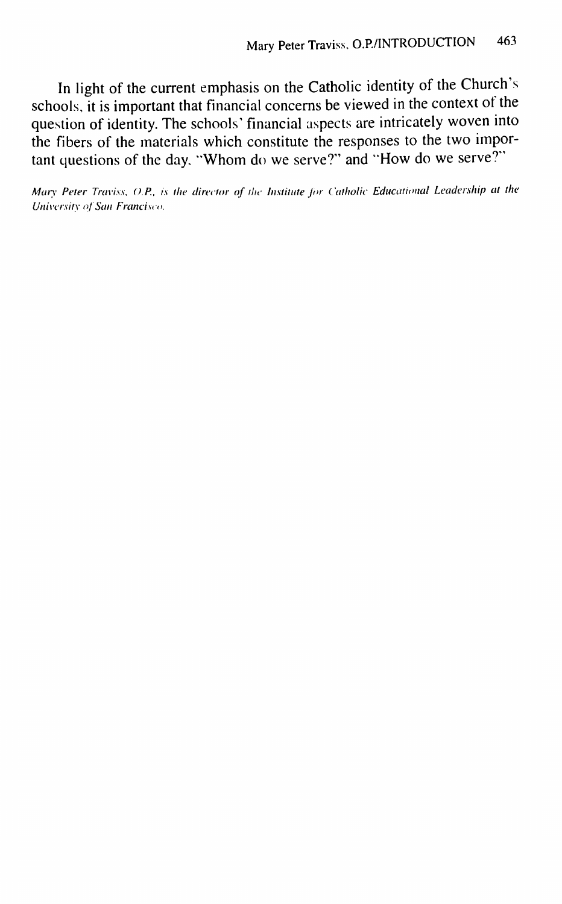In light of the current emphasis on the Catholic identity of the Church's schools, it is important that financial concerns be viewed in the context of the question of identity. The schools' financial aspects are intricately woven into the fibers of the materials which constitute the responses to the two important questions of the day, "Whom do we serve?" and ''How do we serve?"

*Mary Peter Traviss, O.P., is the director of the Institute for Catholic Educational Leadership at the University of San Francisco.*